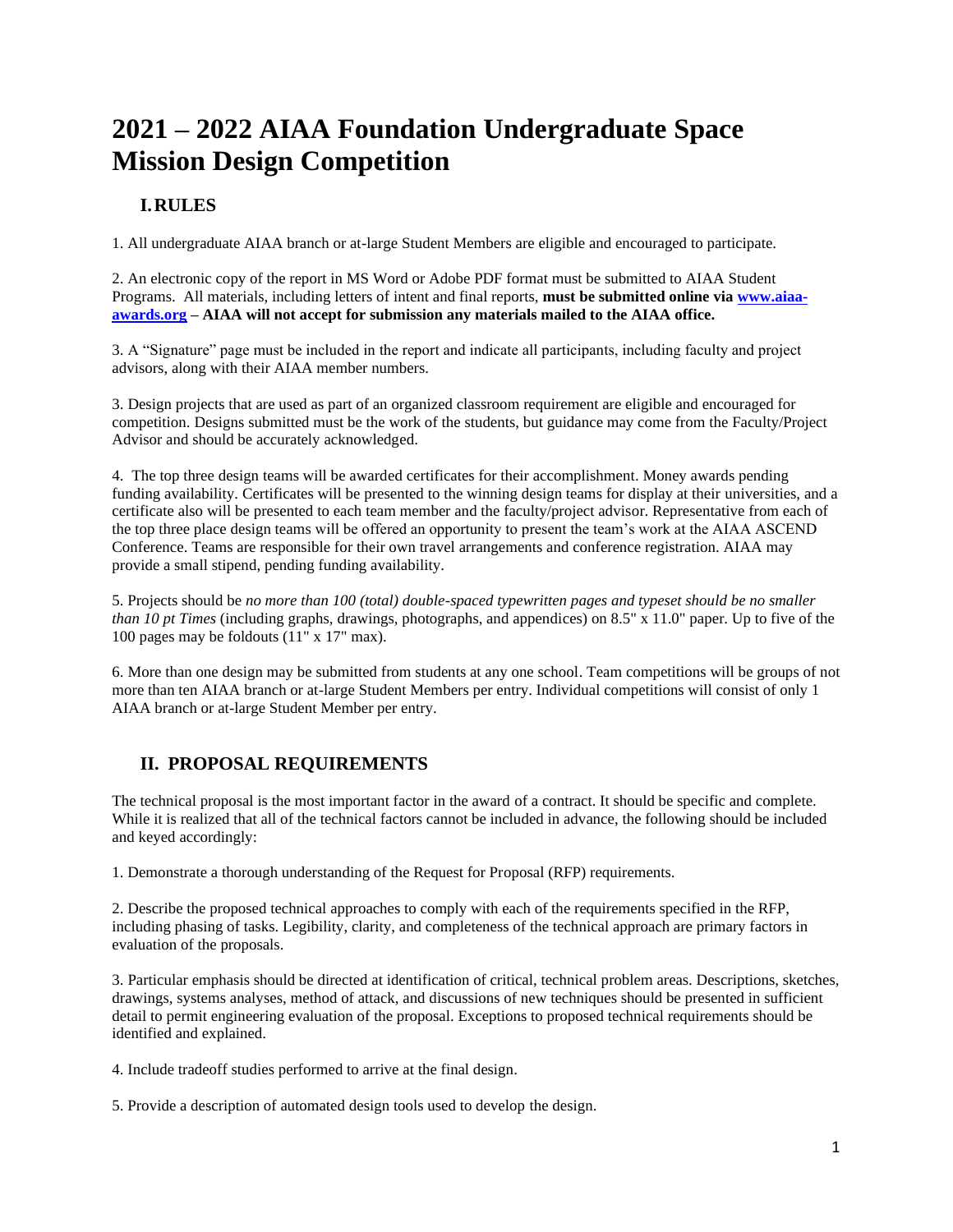# **2021 – 2022 AIAA Foundation Undergraduate Space Mission Design Competition**

## **I.RULES**

1. All undergraduate AIAA branch or at-large Student Members are eligible and encouraged to participate.

2. An electronic copy of the report in MS Word or Adobe PDF format must be submitted to AIAA Student Programs. All materials, including letters of intent and final reports, **must be submitted online via [www.aiaa](https://www.aiaa-awards.org/)[awards.org](https://www.aiaa-awards.org/) – AIAA will not accept for submission any materials mailed to the AIAA office.**

3. A "Signature" page must be included in the report and indicate all participants, including faculty and project advisors, along with their AIAA member numbers.

3. Design projects that are used as part of an organized classroom requirement are eligible and encouraged for competition. Designs submitted must be the work of the students, but guidance may come from the Faculty/Project Advisor and should be accurately acknowledged.

4. The top three design teams will be awarded certificates for their accomplishment. Money awards pending funding availability. Certificates will be presented to the winning design teams for display at their universities, and a certificate also will be presented to each team member and the faculty/project advisor. Representative from each of the top three place design teams will be offered an opportunity to present the team's work at the AIAA ASCEND Conference. Teams are responsible for their own travel arrangements and conference registration. AIAA may provide a small stipend, pending funding availability.

5. Projects should be *no more than 100 (total) double-spaced typewritten pages and typeset should be no smaller than 10 pt Times* (including graphs, drawings, photographs, and appendices) on 8.5" x 11.0" paper. Up to five of the 100 pages may be foldouts (11" x 17" max).

6. More than one design may be submitted from students at any one school. Team competitions will be groups of not more than ten AIAA branch or at-large Student Members per entry. Individual competitions will consist of only 1 AIAA branch or at-large Student Member per entry.

## **II. PROPOSAL REQUIREMENTS**

The technical proposal is the most important factor in the award of a contract. It should be specific and complete. While it is realized that all of the technical factors cannot be included in advance, the following should be included and keyed accordingly:

1. Demonstrate a thorough understanding of the Request for Proposal (RFP) requirements.

2. Describe the proposed technical approaches to comply with each of the requirements specified in the RFP, including phasing of tasks. Legibility, clarity, and completeness of the technical approach are primary factors in evaluation of the proposals.

3. Particular emphasis should be directed at identification of critical, technical problem areas. Descriptions, sketches, drawings, systems analyses, method of attack, and discussions of new techniques should be presented in sufficient detail to permit engineering evaluation of the proposal. Exceptions to proposed technical requirements should be identified and explained.

4. Include tradeoff studies performed to arrive at the final design.

5. Provide a description of automated design tools used to develop the design.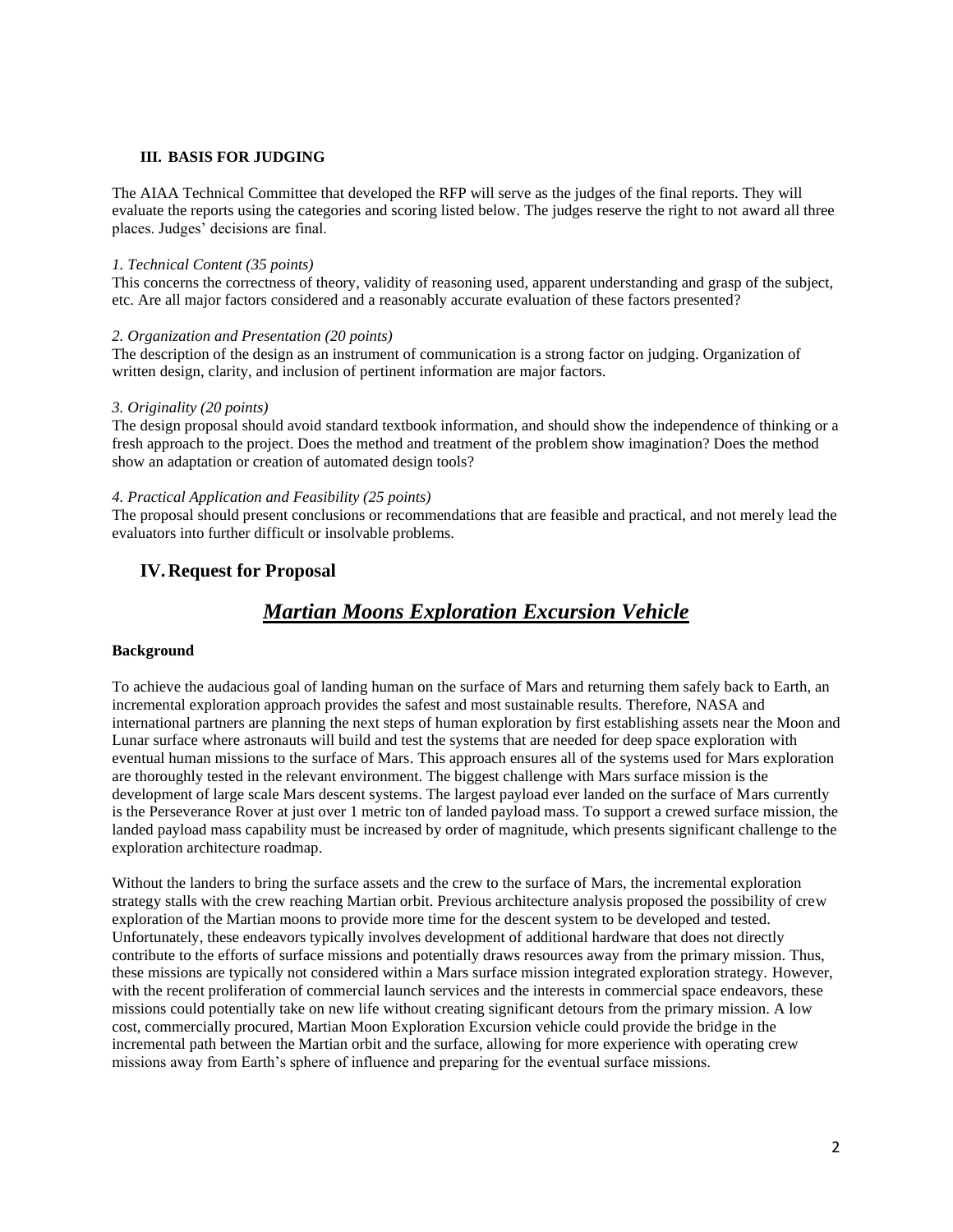#### **III. BASIS FOR JUDGING**

The AIAA Technical Committee that developed the RFP will serve as the judges of the final reports. They will evaluate the reports using the categories and scoring listed below. The judges reserve the right to not award all three places. Judges' decisions are final.

#### *1. Technical Content (35 points)*

This concerns the correctness of theory, validity of reasoning used, apparent understanding and grasp of the subject, etc. Are all major factors considered and a reasonably accurate evaluation of these factors presented?

#### *2. Organization and Presentation (20 points)*

The description of the design as an instrument of communication is a strong factor on judging. Organization of written design, clarity, and inclusion of pertinent information are major factors.

#### *3. Originality (20 points)*

The design proposal should avoid standard textbook information, and should show the independence of thinking or a fresh approach to the project. Does the method and treatment of the problem show imagination? Does the method show an adaptation or creation of automated design tools?

#### *4. Practical Application and Feasibility (25 points)*

The proposal should present conclusions or recommendations that are feasible and practical, and not merely lead the evaluators into further difficult or insolvable problems.

### **IV.Request for Proposal**

## *Martian Moons Exploration Excursion Vehicle*

#### **Background**

To achieve the audacious goal of landing human on the surface of Mars and returning them safely back to Earth, an incremental exploration approach provides the safest and most sustainable results. Therefore, NASA and international partners are planning the next steps of human exploration by first establishing assets near the Moon and Lunar surface where astronauts will build and test the systems that are needed for deep space exploration with eventual human missions to the surface of Mars. This approach ensures all of the systems used for Mars exploration are thoroughly tested in the relevant environment. The biggest challenge with Mars surface mission is the development of large scale Mars descent systems. The largest payload ever landed on the surface of Mars currently is the Perseverance Rover at just over 1 metric ton of landed payload mass. To support a crewed surface mission, the landed payload mass capability must be increased by order of magnitude, which presents significant challenge to the exploration architecture roadmap.

Without the landers to bring the surface assets and the crew to the surface of Mars, the incremental exploration strategy stalls with the crew reaching Martian orbit. Previous architecture analysis proposed the possibility of crew exploration of the Martian moons to provide more time for the descent system to be developed and tested. Unfortunately, these endeavors typically involves development of additional hardware that does not directly contribute to the efforts of surface missions and potentially draws resources away from the primary mission. Thus, these missions are typically not considered within a Mars surface mission integrated exploration strategy. However, with the recent proliferation of commercial launch services and the interests in commercial space endeavors, these missions could potentially take on new life without creating significant detours from the primary mission. A low cost, commercially procured, Martian Moon Exploration Excursion vehicle could provide the bridge in the incremental path between the Martian orbit and the surface, allowing for more experience with operating crew missions away from Earth's sphere of influence and preparing for the eventual surface missions.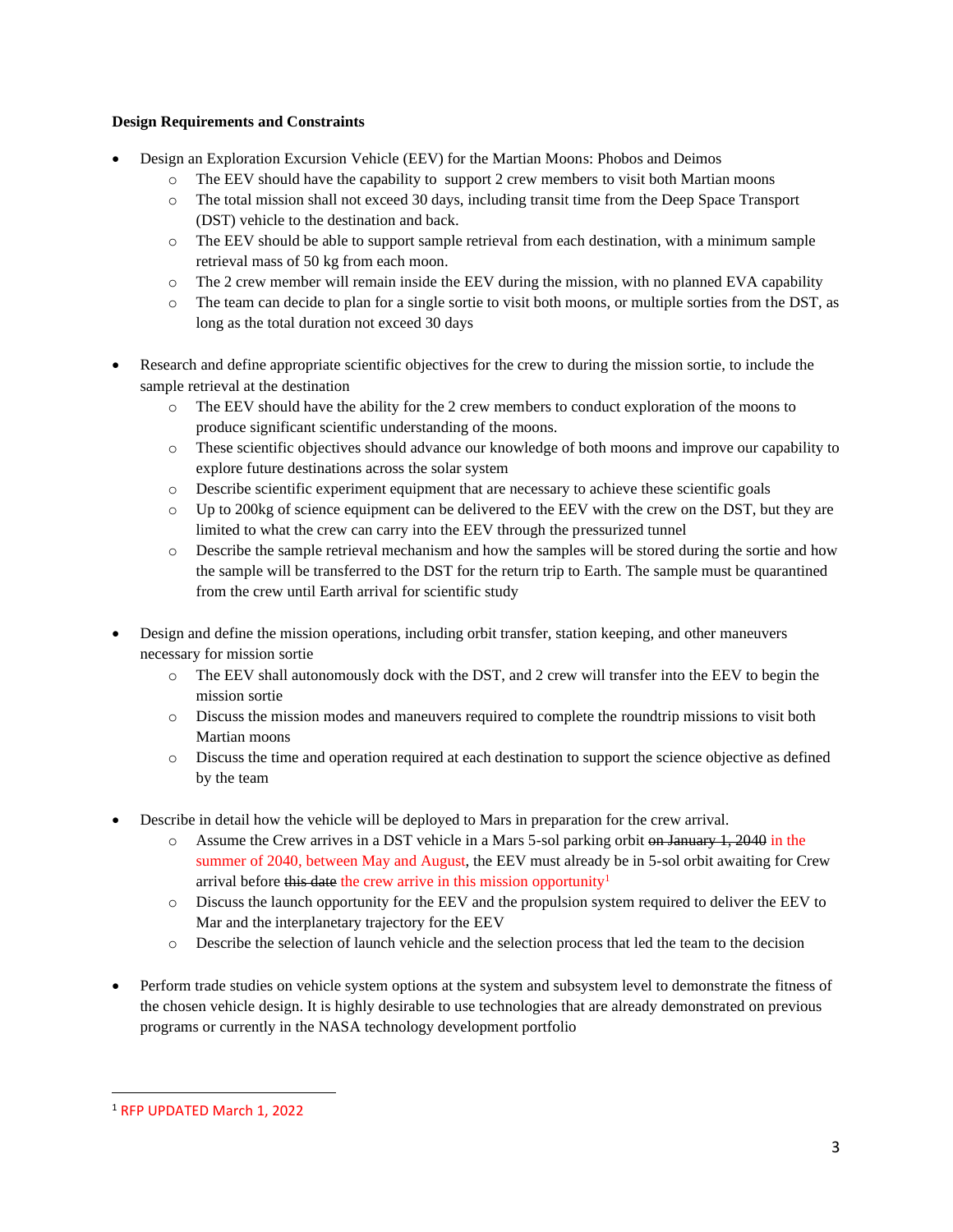#### **Design Requirements and Constraints**

- Design an Exploration Excursion Vehicle (EEV) for the Martian Moons: Phobos and Deimos
	- o The EEV should have the capability to support 2 crew members to visit both Martian moons
	- o The total mission shall not exceed 30 days, including transit time from the Deep Space Transport (DST) vehicle to the destination and back.
	- o The EEV should be able to support sample retrieval from each destination, with a minimum sample retrieval mass of 50 kg from each moon.
	- o The 2 crew member will remain inside the EEV during the mission, with no planned EVA capability
	- o The team can decide to plan for a single sortie to visit both moons, or multiple sorties from the DST, as long as the total duration not exceed 30 days
- Research and define appropriate scientific objectives for the crew to during the mission sortie, to include the sample retrieval at the destination
	- o The EEV should have the ability for the 2 crew members to conduct exploration of the moons to produce significant scientific understanding of the moons.
	- o These scientific objectives should advance our knowledge of both moons and improve our capability to explore future destinations across the solar system
	- o Describe scientific experiment equipment that are necessary to achieve these scientific goals
	- o Up to 200kg of science equipment can be delivered to the EEV with the crew on the DST, but they are limited to what the crew can carry into the EEV through the pressurized tunnel
	- o Describe the sample retrieval mechanism and how the samples will be stored during the sortie and how the sample will be transferred to the DST for the return trip to Earth. The sample must be quarantined from the crew until Earth arrival for scientific study
- Design and define the mission operations, including orbit transfer, station keeping, and other maneuvers necessary for mission sortie
	- o The EEV shall autonomously dock with the DST, and 2 crew will transfer into the EEV to begin the mission sortie
	- o Discuss the mission modes and maneuvers required to complete the roundtrip missions to visit both Martian moons
	- o Discuss the time and operation required at each destination to support the science objective as defined by the team
- Describe in detail how the vehicle will be deployed to Mars in preparation for the crew arrival.
	- $\circ$  Assume the Crew arrives in a DST vehicle in a Mars 5-sol parking orbit on January 1, 2040 in the summer of 2040, between May and August, the EEV must already be in 5-sol orbit awaiting for Crew arrival before this date the crew arrive in this mission opportunity<sup>1</sup>
	- o Discuss the launch opportunity for the EEV and the propulsion system required to deliver the EEV to Mar and the interplanetary trajectory for the EEV
	- o Describe the selection of launch vehicle and the selection process that led the team to the decision
- Perform trade studies on vehicle system options at the system and subsystem level to demonstrate the fitness of the chosen vehicle design. It is highly desirable to use technologies that are already demonstrated on previous programs or currently in the NASA technology development portfolio

<sup>1</sup> RFP UPDATED March 1, 2022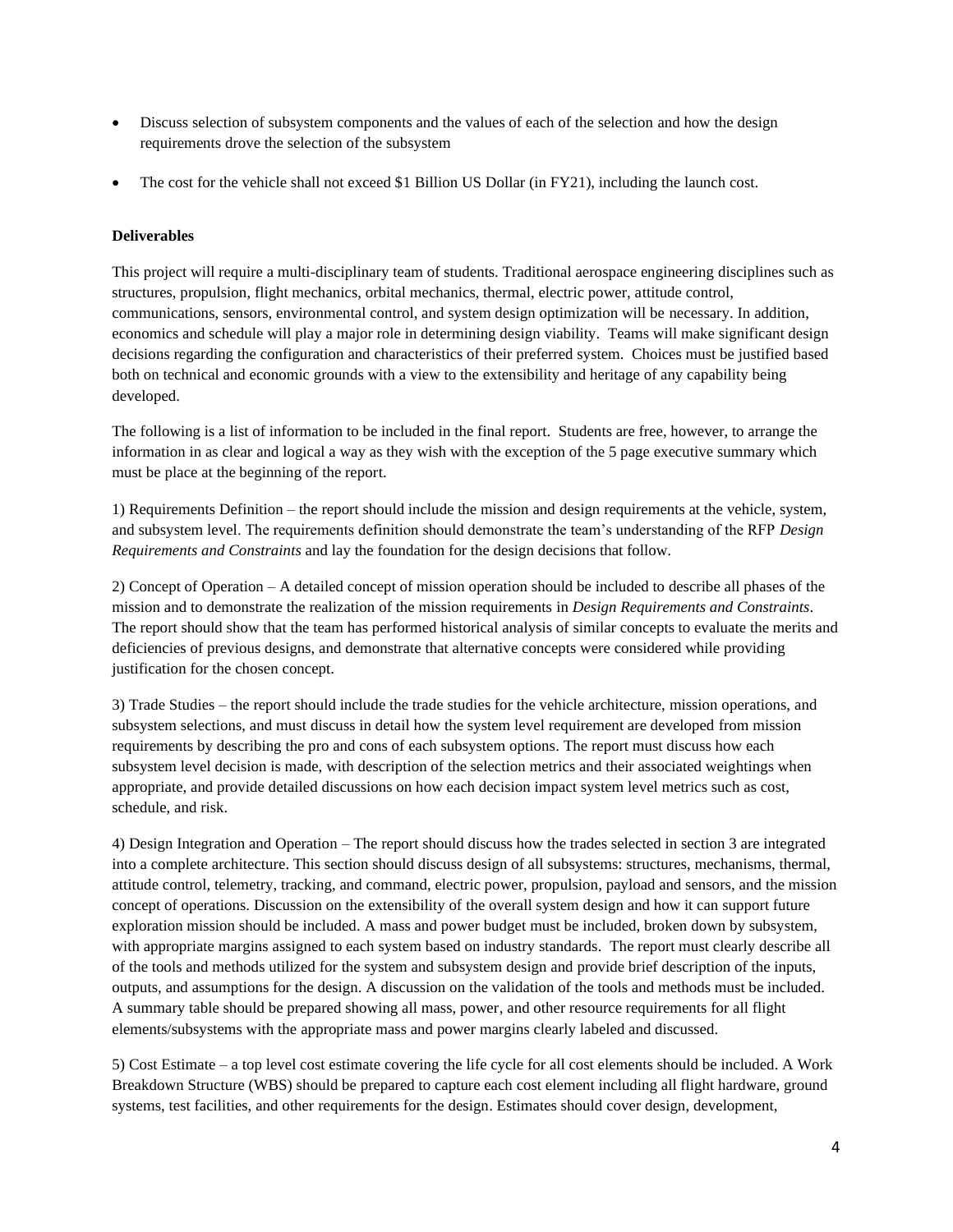- Discuss selection of subsystem components and the values of each of the selection and how the design requirements drove the selection of the subsystem
- The cost for the vehicle shall not exceed \$1 Billion US Dollar (in FY21), including the launch cost.

#### **Deliverables**

This project will require a multi-disciplinary team of students. Traditional aerospace engineering disciplines such as structures, propulsion, flight mechanics, orbital mechanics, thermal, electric power, attitude control, communications, sensors, environmental control, and system design optimization will be necessary. In addition, economics and schedule will play a major role in determining design viability. Teams will make significant design decisions regarding the configuration and characteristics of their preferred system. Choices must be justified based both on technical and economic grounds with a view to the extensibility and heritage of any capability being developed.

The following is a list of information to be included in the final report. Students are free, however, to arrange the information in as clear and logical a way as they wish with the exception of the 5 page executive summary which must be place at the beginning of the report.

1) Requirements Definition – the report should include the mission and design requirements at the vehicle, system, and subsystem level. The requirements definition should demonstrate the team's understanding of the RFP *Design Requirements and Constraints* and lay the foundation for the design decisions that follow.

2) Concept of Operation – A detailed concept of mission operation should be included to describe all phases of the mission and to demonstrate the realization of the mission requirements in *Design Requirements and Constraints*. The report should show that the team has performed historical analysis of similar concepts to evaluate the merits and deficiencies of previous designs, and demonstrate that alternative concepts were considered while providing justification for the chosen concept.

3) Trade Studies – the report should include the trade studies for the vehicle architecture, mission operations, and subsystem selections, and must discuss in detail how the system level requirement are developed from mission requirements by describing the pro and cons of each subsystem options. The report must discuss how each subsystem level decision is made, with description of the selection metrics and their associated weightings when appropriate, and provide detailed discussions on how each decision impact system level metrics such as cost, schedule, and risk.

4) Design Integration and Operation – The report should discuss how the trades selected in section 3 are integrated into a complete architecture. This section should discuss design of all subsystems: structures, mechanisms, thermal, attitude control, telemetry, tracking, and command, electric power, propulsion, payload and sensors, and the mission concept of operations. Discussion on the extensibility of the overall system design and how it can support future exploration mission should be included. A mass and power budget must be included, broken down by subsystem, with appropriate margins assigned to each system based on industry standards. The report must clearly describe all of the tools and methods utilized for the system and subsystem design and provide brief description of the inputs, outputs, and assumptions for the design. A discussion on the validation of the tools and methods must be included. A summary table should be prepared showing all mass, power, and other resource requirements for all flight elements/subsystems with the appropriate mass and power margins clearly labeled and discussed.

5) Cost Estimate – a top level cost estimate covering the life cycle for all cost elements should be included. A Work Breakdown Structure (WBS) should be prepared to capture each cost element including all flight hardware, ground systems, test facilities, and other requirements for the design. Estimates should cover design, development,